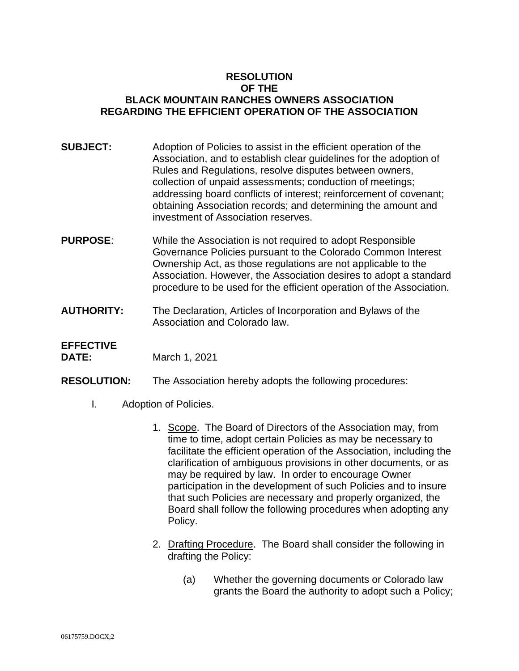### **RESOLUTION OF THE BLACK MOUNTAIN RANCHES OWNERS ASSOCIATION REGARDING THE EFFICIENT OPERATION OF THE ASSOCIATION**

- **SUBJECT:** Adoption of Policies to assist in the efficient operation of the Association, and to establish clear guidelines for the adoption of Rules and Regulations, resolve disputes between owners, collection of unpaid assessments; conduction of meetings; addressing board conflicts of interest; reinforcement of covenant; obtaining Association records; and determining the amount and investment of Association reserves.
- **PURPOSE**: While the Association is not required to adopt Responsible Governance Policies pursuant to the Colorado Common Interest Ownership Act, as those regulations are not applicable to the Association. However, the Association desires to adopt a standard procedure to be used for the efficient operation of the Association.
- **AUTHORITY:** The Declaration, Articles of Incorporation and Bylaws of the Association and Colorado law.

# **EFFECTIVE**

**DATE:** March 1, 2021

- **RESOLUTION:** The Association hereby adopts the following procedures:
	- I. Adoption of Policies.
		- 1. Scope. The Board of Directors of the Association may, from time to time, adopt certain Policies as may be necessary to facilitate the efficient operation of the Association, including the clarification of ambiguous provisions in other documents, or as may be required by law. In order to encourage Owner participation in the development of such Policies and to insure that such Policies are necessary and properly organized, the Board shall follow the following procedures when adopting any Policy.
		- 2. Drafting Procedure. The Board shall consider the following in drafting the Policy:
			- (a) Whether the governing documents or Colorado law grants the Board the authority to adopt such a Policy;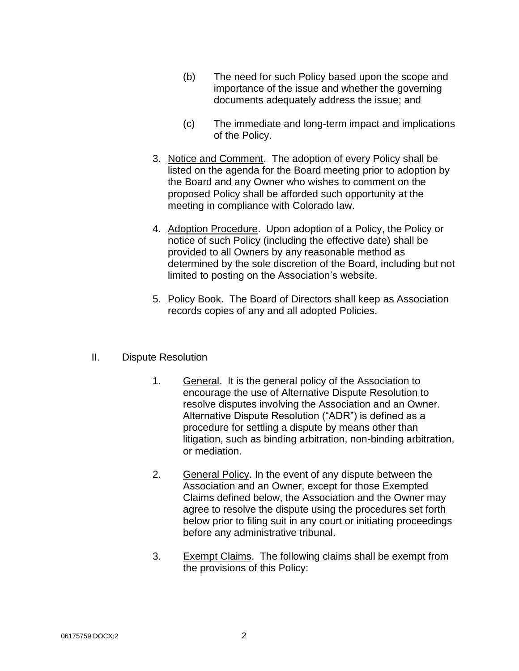- (b) The need for such Policy based upon the scope and importance of the issue and whether the governing documents adequately address the issue; and
- (c) The immediate and long-term impact and implications of the Policy.
- 3. Notice and Comment. The adoption of every Policy shall be listed on the agenda for the Board meeting prior to adoption by the Board and any Owner who wishes to comment on the proposed Policy shall be afforded such opportunity at the meeting in compliance with Colorado law.
- 4. Adoption Procedure. Upon adoption of a Policy, the Policy or notice of such Policy (including the effective date) shall be provided to all Owners by any reasonable method as determined by the sole discretion of the Board, including but not limited to posting on the Association's website.
- 5. Policy Book. The Board of Directors shall keep as Association records copies of any and all adopted Policies.

#### II. Dispute Resolution

- 1. General. It is the general policy of the Association to encourage the use of Alternative Dispute Resolution to resolve disputes involving the Association and an Owner. Alternative Dispute Resolution ("ADR") is defined as a procedure for settling a dispute by means other than litigation, such as binding arbitration, non-binding arbitration, or mediation.
- 2. General Policy. In the event of any dispute between the Association and an Owner, except for those Exempted Claims defined below, the Association and the Owner may agree to resolve the dispute using the procedures set forth below prior to filing suit in any court or initiating proceedings before any administrative tribunal.
- 3. Exempt Claims. The following claims shall be exempt from the provisions of this Policy: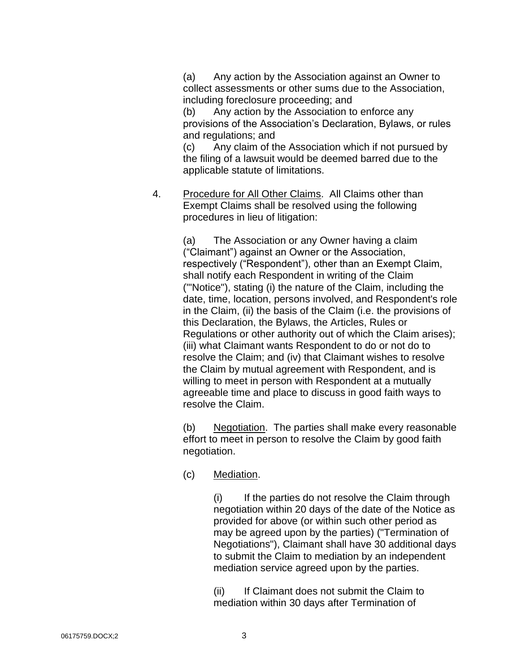(a) Any action by the Association against an Owner to collect assessments or other sums due to the Association, including foreclosure proceeding; and

(b) Any action by the Association to enforce any provisions of the Association's Declaration, Bylaws, or rules and regulations; and

(c) Any claim of the Association which if not pursued by the filing of a lawsuit would be deemed barred due to the applicable statute of limitations.

4. Procedure for All Other Claims. All Claims other than Exempt Claims shall be resolved using the following procedures in lieu of litigation:

> (a) The Association or any Owner having a claim ("Claimant") against an Owner or the Association, respectively ("Respondent"), other than an Exempt Claim, shall notify each Respondent in writing of the Claim ("'Notice"), stating (i) the nature of the Claim, including the date, time, location, persons involved, and Respondent's role in the Claim, (ii) the basis of the Claim (i.e. the provisions of this Declaration, the Bylaws, the Articles, Rules or Regulations or other authority out of which the Claim arises); (iii) what Claimant wants Respondent to do or not do to resolve the Claim; and (iv) that Claimant wishes to resolve the Claim by mutual agreement with Respondent, and is willing to meet in person with Respondent at a mutually agreeable time and place to discuss in good faith ways to resolve the Claim.

> (b) Negotiation. The parties shall make every reasonable effort to meet in person to resolve the Claim by good faith negotiation.

(c) Mediation.

(i) If the parties do not resolve the Claim through negotiation within 20 days of the date of the Notice as provided for above (or within such other period as may be agreed upon by the parties) ("Termination of Negotiations"), Claimant shall have 30 additional days to submit the Claim to mediation by an independent mediation service agreed upon by the parties.

(ii) If Claimant does not submit the Claim to mediation within 30 days after Termination of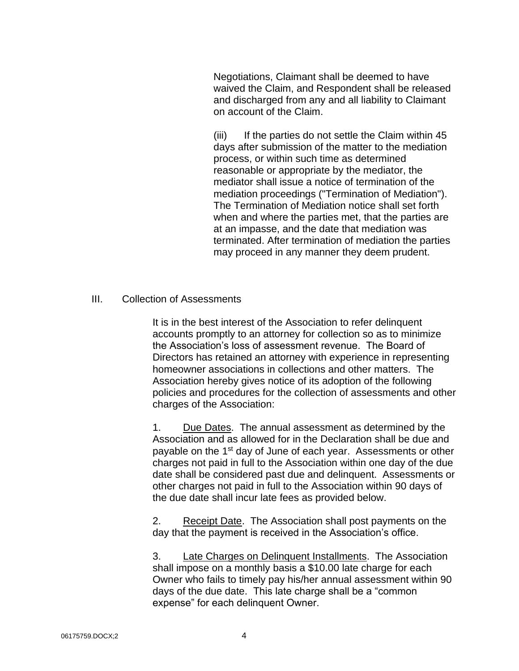Negotiations, Claimant shall be deemed to have waived the Claim, and Respondent shall be released and discharged from any and all liability to Claimant on account of the Claim.

(iii) If the parties do not settle the Claim within 45 days after submission of the matter to the mediation process, or within such time as determined reasonable or appropriate by the mediator, the mediator shall issue a notice of termination of the mediation proceedings ("Termination of Mediation"). The Termination of Mediation notice shall set forth when and where the parties met, that the parties are at an impasse, and the date that mediation was terminated. After termination of mediation the parties may proceed in any manner they deem prudent.

#### III. Collection of Assessments

It is in the best interest of the Association to refer delinquent accounts promptly to an attorney for collection so as to minimize the Association's loss of assessment revenue. The Board of Directors has retained an attorney with experience in representing homeowner associations in collections and other matters. The Association hereby gives notice of its adoption of the following policies and procedures for the collection of assessments and other charges of the Association:

1. Due Dates. The annual assessment as determined by the Association and as allowed for in the Declaration shall be due and payable on the 1<sup>st</sup> day of June of each year. Assessments or other charges not paid in full to the Association within one day of the due date shall be considered past due and delinquent. Assessments or other charges not paid in full to the Association within 90 days of the due date shall incur late fees as provided below.

2. Receipt Date. The Association shall post payments on the day that the payment is received in the Association's office.

3. Late Charges on Delinquent Installments. The Association shall impose on a monthly basis a \$10.00 late charge for each Owner who fails to timely pay his/her annual assessment within 90 days of the due date. This late charge shall be a "common expense" for each delinquent Owner.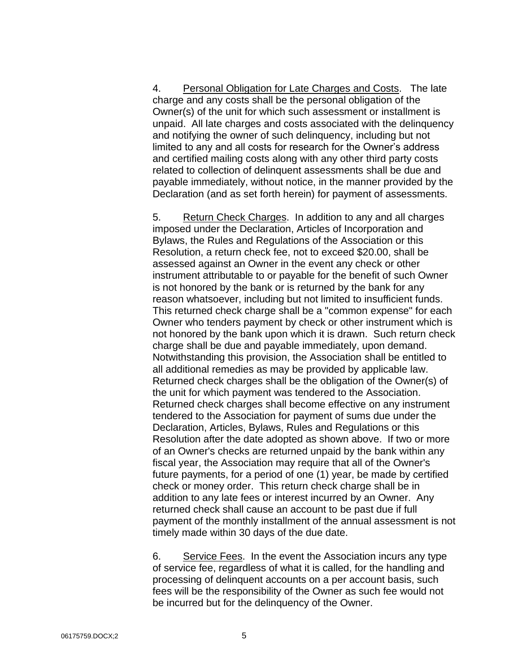4. Personal Obligation for Late Charges and Costs. The late charge and any costs shall be the personal obligation of the Owner(s) of the unit for which such assessment or installment is unpaid. All late charges and costs associated with the delinquency and notifying the owner of such delinquency, including but not limited to any and all costs for research for the Owner's address and certified mailing costs along with any other third party costs related to collection of delinquent assessments shall be due and payable immediately, without notice, in the manner provided by the Declaration (and as set forth herein) for payment of assessments.

5. Return Check Charges. In addition to any and all charges imposed under the Declaration, Articles of Incorporation and Bylaws, the Rules and Regulations of the Association or this Resolution, a return check fee, not to exceed \$20.00, shall be assessed against an Owner in the event any check or other instrument attributable to or payable for the benefit of such Owner is not honored by the bank or is returned by the bank for any reason whatsoever, including but not limited to insufficient funds. This returned check charge shall be a "common expense" for each Owner who tenders payment by check or other instrument which is not honored by the bank upon which it is drawn. Such return check charge shall be due and payable immediately, upon demand. Notwithstanding this provision, the Association shall be entitled to all additional remedies as may be provided by applicable law. Returned check charges shall be the obligation of the Owner(s) of the unit for which payment was tendered to the Association. Returned check charges shall become effective on any instrument tendered to the Association for payment of sums due under the Declaration, Articles, Bylaws, Rules and Regulations or this Resolution after the date adopted as shown above. If two or more of an Owner's checks are returned unpaid by the bank within any fiscal year, the Association may require that all of the Owner's future payments, for a period of one (1) year, be made by certified check or money order. This return check charge shall be in addition to any late fees or interest incurred by an Owner. Any returned check shall cause an account to be past due if full payment of the monthly installment of the annual assessment is not timely made within 30 days of the due date.

6. Service Fees. In the event the Association incurs any type of service fee, regardless of what it is called, for the handling and processing of delinquent accounts on a per account basis, such fees will be the responsibility of the Owner as such fee would not be incurred but for the delinquency of the Owner.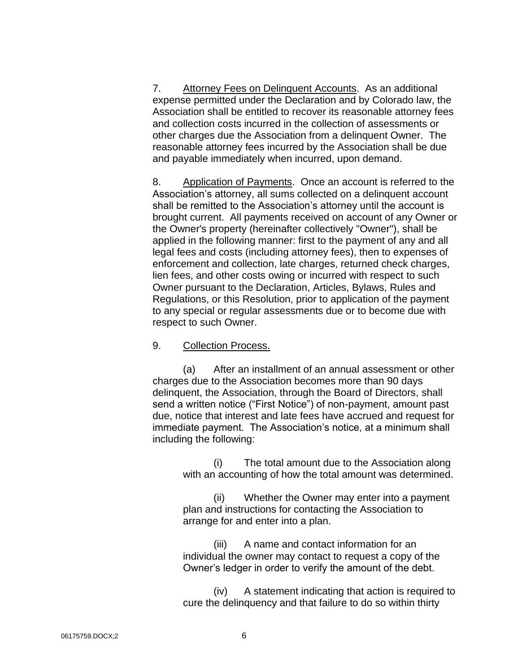7. Attorney Fees on Delinquent Accounts. As an additional expense permitted under the Declaration and by Colorado law, the Association shall be entitled to recover its reasonable attorney fees and collection costs incurred in the collection of assessments or other charges due the Association from a delinquent Owner. The reasonable attorney fees incurred by the Association shall be due and payable immediately when incurred, upon demand.

8. Application of Payments. Once an account is referred to the Association's attorney, all sums collected on a delinquent account shall be remitted to the Association's attorney until the account is brought current. All payments received on account of any Owner or the Owner's property (hereinafter collectively "Owner"), shall be applied in the following manner: first to the payment of any and all legal fees and costs (including attorney fees), then to expenses of enforcement and collection, late charges, returned check charges, lien fees, and other costs owing or incurred with respect to such Owner pursuant to the Declaration, Articles, Bylaws, Rules and Regulations, or this Resolution, prior to application of the payment to any special or regular assessments due or to become due with respect to such Owner.

#### 9. Collection Process.

(a) After an installment of an annual assessment or other charges due to the Association becomes more than 90 days delinquent, the Association, through the Board of Directors, shall send a written notice ("First Notice") of non-payment, amount past due, notice that interest and late fees have accrued and request for immediate payment. The Association's notice, at a minimum shall including the following:

(i) The total amount due to the Association along with an accounting of how the total amount was determined.

(ii) Whether the Owner may enter into a payment plan and instructions for contacting the Association to arrange for and enter into a plan.

(iii) A name and contact information for an individual the owner may contact to request a copy of the Owner's ledger in order to verify the amount of the debt.

(iv) A statement indicating that action is required to cure the delinquency and that failure to do so within thirty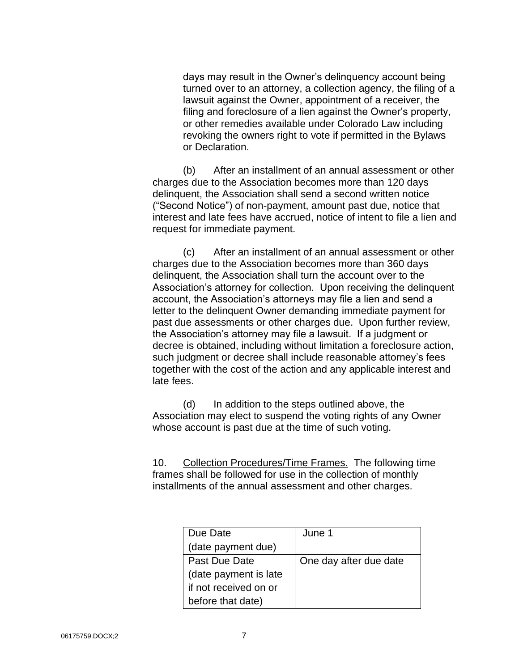days may result in the Owner's delinquency account being turned over to an attorney, a collection agency, the filing of a lawsuit against the Owner, appointment of a receiver, the filing and foreclosure of a lien against the Owner's property, or other remedies available under Colorado Law including revoking the owners right to vote if permitted in the Bylaws or Declaration.

(b) After an installment of an annual assessment or other charges due to the Association becomes more than 120 days delinquent, the Association shall send a second written notice ("Second Notice") of non-payment, amount past due, notice that interest and late fees have accrued, notice of intent to file a lien and request for immediate payment.

(c) After an installment of an annual assessment or other charges due to the Association becomes more than 360 days delinquent, the Association shall turn the account over to the Association's attorney for collection. Upon receiving the delinquent account, the Association's attorneys may file a lien and send a letter to the delinquent Owner demanding immediate payment for past due assessments or other charges due. Upon further review, the Association's attorney may file a lawsuit. If a judgment or decree is obtained, including without limitation a foreclosure action, such judgment or decree shall include reasonable attorney's fees together with the cost of the action and any applicable interest and late fees.

(d) In addition to the steps outlined above, the Association may elect to suspend the voting rights of any Owner whose account is past due at the time of such voting.

10. Collection Procedures/Time Frames. The following time frames shall be followed for use in the collection of monthly installments of the annual assessment and other charges.

| Due Date              | June 1                 |
|-----------------------|------------------------|
| (date payment due)    |                        |
| Past Due Date         | One day after due date |
| (date payment is late |                        |
| if not received on or |                        |
| before that date)     |                        |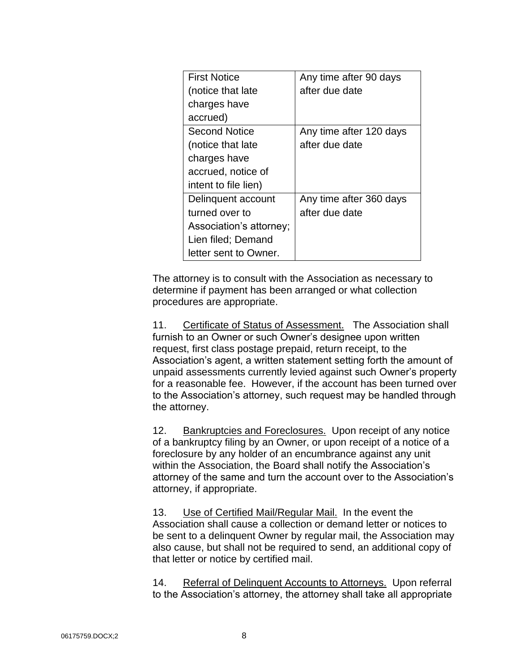| <b>First Notice</b>     | Any time after 90 days  |
|-------------------------|-------------------------|
|                         |                         |
| (notice that late       | after due date          |
| charges have            |                         |
| accrued)                |                         |
| <b>Second Notice</b>    | Any time after 120 days |
| (notice that late       | after due date          |
| charges have            |                         |
| accrued, notice of      |                         |
| intent to file lien)    |                         |
| Delinquent account      | Any time after 360 days |
| turned over to          | after due date          |
| Association's attorney; |                         |
| Lien filed; Demand      |                         |
| letter sent to Owner.   |                         |

The attorney is to consult with the Association as necessary to determine if payment has been arranged or what collection procedures are appropriate.

11. Certificate of Status of Assessment. The Association shall furnish to an Owner or such Owner's designee upon written request, first class postage prepaid, return receipt, to the Association's agent, a written statement setting forth the amount of unpaid assessments currently levied against such Owner's property for a reasonable fee. However, if the account has been turned over to the Association's attorney, such request may be handled through the attorney.

12. Bankruptcies and Foreclosures. Upon receipt of any notice of a bankruptcy filing by an Owner, or upon receipt of a notice of a foreclosure by any holder of an encumbrance against any unit within the Association, the Board shall notify the Association's attorney of the same and turn the account over to the Association's attorney, if appropriate.

13. Use of Certified Mail/Regular Mail. In the event the Association shall cause a collection or demand letter or notices to be sent to a delinquent Owner by regular mail, the Association may also cause, but shall not be required to send, an additional copy of that letter or notice by certified mail.

14. Referral of Delinquent Accounts to Attorneys. Upon referral to the Association's attorney, the attorney shall take all appropriate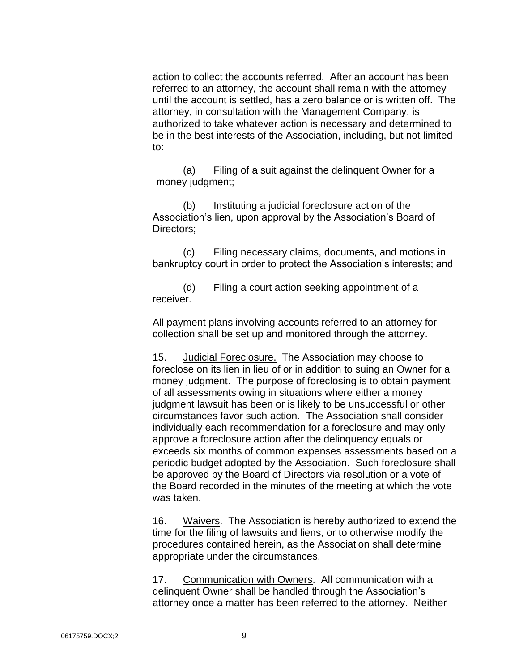action to collect the accounts referred. After an account has been referred to an attorney, the account shall remain with the attorney until the account is settled, has a zero balance or is written off. The attorney, in consultation with the Management Company, is authorized to take whatever action is necessary and determined to be in the best interests of the Association, including, but not limited to:

(a) Filing of a suit against the delinquent Owner for a money judgment;

(b) Instituting a judicial foreclosure action of the Association's lien, upon approval by the Association's Board of Directors;

(c) Filing necessary claims, documents, and motions in bankruptcy court in order to protect the Association's interests; and

(d) Filing a court action seeking appointment of a receiver.

All payment plans involving accounts referred to an attorney for collection shall be set up and monitored through the attorney.

15. Judicial Foreclosure. The Association may choose to foreclose on its lien in lieu of or in addition to suing an Owner for a money judgment. The purpose of foreclosing is to obtain payment of all assessments owing in situations where either a money judgment lawsuit has been or is likely to be unsuccessful or other circumstances favor such action. The Association shall consider individually each recommendation for a foreclosure and may only approve a foreclosure action after the delinquency equals or exceeds six months of common expenses assessments based on a periodic budget adopted by the Association. Such foreclosure shall be approved by the Board of Directors via resolution or a vote of the Board recorded in the minutes of the meeting at which the vote was taken.

16. Waivers. The Association is hereby authorized to extend the time for the filing of lawsuits and liens, or to otherwise modify the procedures contained herein, as the Association shall determine appropriate under the circumstances.

17. Communication with Owners. All communication with a delinquent Owner shall be handled through the Association's attorney once a matter has been referred to the attorney. Neither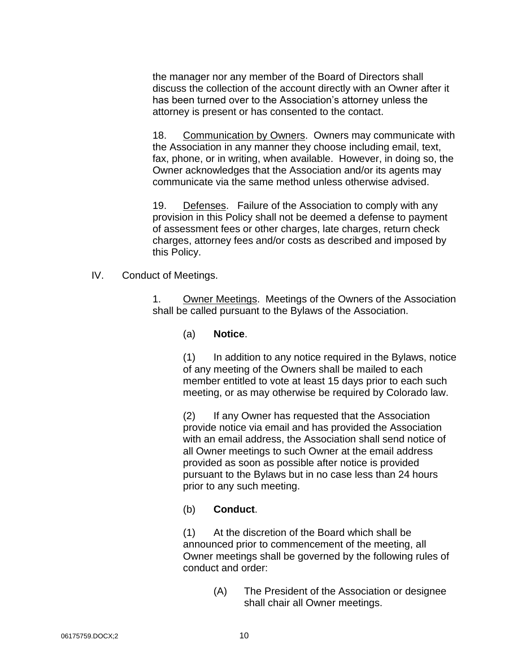the manager nor any member of the Board of Directors shall discuss the collection of the account directly with an Owner after it has been turned over to the Association's attorney unless the attorney is present or has consented to the contact.

18. Communication by Owners. Owners may communicate with the Association in any manner they choose including email, text, fax, phone, or in writing, when available. However, in doing so, the Owner acknowledges that the Association and/or its agents may communicate via the same method unless otherwise advised.

19. Defenses. Failure of the Association to comply with any provision in this Policy shall not be deemed a defense to payment of assessment fees or other charges, late charges, return check charges, attorney fees and/or costs as described and imposed by this Policy.

IV. Conduct of Meetings.

1. Owner Meetings. Meetings of the Owners of the Association shall be called pursuant to the Bylaws of the Association.

(a) **Notice**.

(1) In addition to any notice required in the Bylaws, notice of any meeting of the Owners shall be mailed to each member entitled to vote at least 15 days prior to each such meeting, or as may otherwise be required by Colorado law.

(2) If any Owner has requested that the Association provide notice via email and has provided the Association with an email address, the Association shall send notice of all Owner meetings to such Owner at the email address provided as soon as possible after notice is provided pursuant to the Bylaws but in no case less than 24 hours prior to any such meeting.

#### (b) **Conduct**.

(1) At the discretion of the Board which shall be announced prior to commencement of the meeting, all Owner meetings shall be governed by the following rules of conduct and order:

> (A) The President of the Association or designee shall chair all Owner meetings.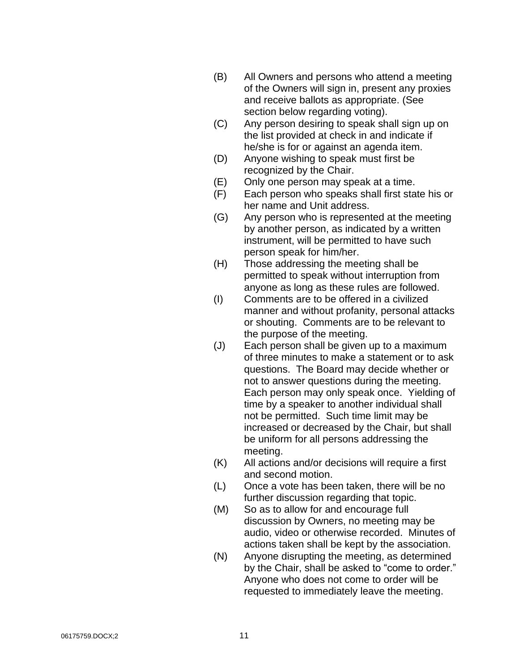- (B) All Owners and persons who attend a meeting of the Owners will sign in, present any proxies and receive ballots as appropriate. (See section below regarding voting).
- (C) Any person desiring to speak shall sign up on the list provided at check in and indicate if he/she is for or against an agenda item.
- (D) Anyone wishing to speak must first be recognized by the Chair.
- (E) Only one person may speak at a time.
- (F) Each person who speaks shall first state his or her name and Unit address.
- (G) Any person who is represented at the meeting by another person, as indicated by a written instrument, will be permitted to have such person speak for him/her.
- (H) Those addressing the meeting shall be permitted to speak without interruption from anyone as long as these rules are followed.
- (I) Comments are to be offered in a civilized manner and without profanity, personal attacks or shouting. Comments are to be relevant to the purpose of the meeting.
- (J) Each person shall be given up to a maximum of three minutes to make a statement or to ask questions. The Board may decide whether or not to answer questions during the meeting. Each person may only speak once. Yielding of time by a speaker to another individual shall not be permitted. Such time limit may be increased or decreased by the Chair, but shall be uniform for all persons addressing the meeting.
- (K) All actions and/or decisions will require a first and second motion.
- (L) Once a vote has been taken, there will be no further discussion regarding that topic.
- (M) So as to allow for and encourage full discussion by Owners, no meeting may be audio, video or otherwise recorded. Minutes of actions taken shall be kept by the association.
- (N) Anyone disrupting the meeting, as determined by the Chair, shall be asked to "come to order." Anyone who does not come to order will be requested to immediately leave the meeting.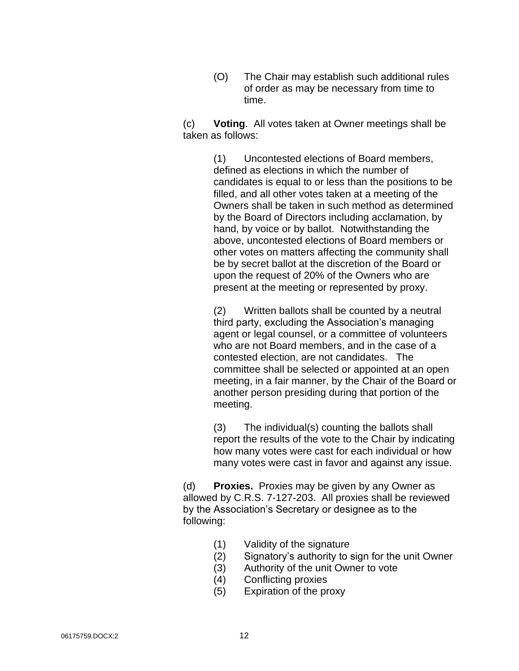(O) The Chair may establish such additional rules of order as may be necessary from time to time.

(c) **Voting**. All votes taken at Owner meetings shall be taken as follows:

> (1) Uncontested elections of Board members, defined as elections in which the number of candidates is equal to or less than the positions to be filled, and all other votes taken at a meeting of the Owners shall be taken in such method as determined by the Board of Directors including acclamation, by hand, by voice or by ballot. Notwithstanding the above, uncontested elections of Board members or other votes on matters affecting the community shall be by secret ballot at the discretion of the Board or upon the request of 20% of the Owners who are present at the meeting or represented by proxy.

(2) Written ballots shall be counted by a neutral third party, excluding the Association's managing agent or legal counsel, or a committee of volunteers who are not Board members, and in the case of a contested election, are not candidates. The committee shall be selected or appointed at an open meeting, in a fair manner, by the Chair of the Board or another person presiding during that portion of the meeting.

(3) The individual(s) counting the ballots shall report the results of the vote to the Chair by indicating how many votes were cast for each individual or how many votes were cast in favor and against any issue.

(d) **Proxies.** Proxies may be given by any Owner as allowed by C.R.S. 7-127-203. All proxies shall be reviewed by the Association's Secretary or designee as to the following:

- (1) Validity of the signature
- (2) Signatory's authority to sign for the unit Owner
- (3) Authority of the unit Owner to vote
- (4) Conflicting proxies
- (5) Expiration of the proxy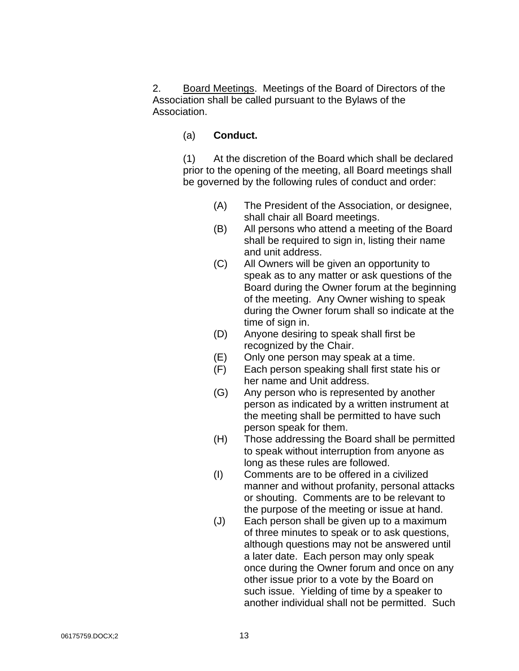2. Board Meetings. Meetings of the Board of Directors of the Association shall be called pursuant to the Bylaws of the Association.

### (a) **Conduct.**

(1) At the discretion of the Board which shall be declared prior to the opening of the meeting, all Board meetings shall be governed by the following rules of conduct and order:

- (A) The President of the Association, or designee, shall chair all Board meetings.
- (B) All persons who attend a meeting of the Board shall be required to sign in, listing their name and unit address.
- (C) All Owners will be given an opportunity to speak as to any matter or ask questions of the Board during the Owner forum at the beginning of the meeting. Any Owner wishing to speak during the Owner forum shall so indicate at the time of sign in.
- (D) Anyone desiring to speak shall first be recognized by the Chair.
- (E) Only one person may speak at a time.
- (F) Each person speaking shall first state his or her name and Unit address.
- (G) Any person who is represented by another person as indicated by a written instrument at the meeting shall be permitted to have such person speak for them.
- (H) Those addressing the Board shall be permitted to speak without interruption from anyone as long as these rules are followed.
- (I) Comments are to be offered in a civilized manner and without profanity, personal attacks or shouting. Comments are to be relevant to the purpose of the meeting or issue at hand.
- (J) Each person shall be given up to a maximum of three minutes to speak or to ask questions, although questions may not be answered until a later date. Each person may only speak once during the Owner forum and once on any other issue prior to a vote by the Board on such issue. Yielding of time by a speaker to another individual shall not be permitted. Such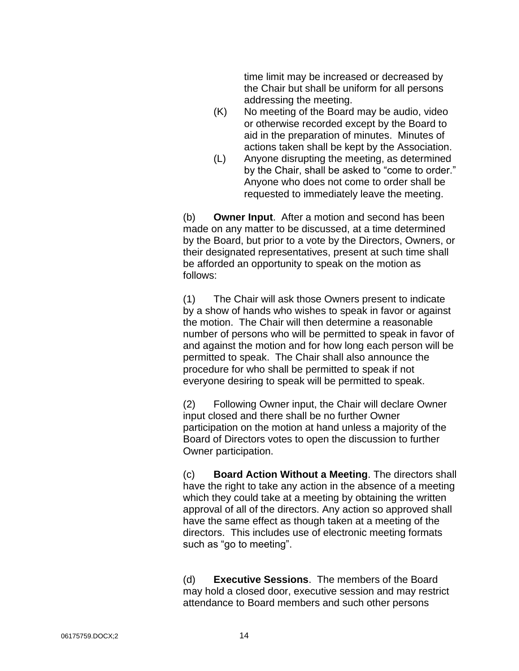time limit may be increased or decreased by the Chair but shall be uniform for all persons addressing the meeting.

- (K) No meeting of the Board may be audio, video or otherwise recorded except by the Board to aid in the preparation of minutes. Minutes of actions taken shall be kept by the Association.
- (L) Anyone disrupting the meeting, as determined by the Chair, shall be asked to "come to order." Anyone who does not come to order shall be requested to immediately leave the meeting.

(b) **Owner Input**. After a motion and second has been made on any matter to be discussed, at a time determined by the Board, but prior to a vote by the Directors, Owners, or their designated representatives, present at such time shall be afforded an opportunity to speak on the motion as follows:

(1) The Chair will ask those Owners present to indicate by a show of hands who wishes to speak in favor or against the motion. The Chair will then determine a reasonable number of persons who will be permitted to speak in favor of and against the motion and for how long each person will be permitted to speak. The Chair shall also announce the procedure for who shall be permitted to speak if not everyone desiring to speak will be permitted to speak.

(2) Following Owner input, the Chair will declare Owner input closed and there shall be no further Owner participation on the motion at hand unless a majority of the Board of Directors votes to open the discussion to further Owner participation.

(c) **Board Action Without a Meeting**. The directors shall have the right to take any action in the absence of a meeting which they could take at a meeting by obtaining the written approval of all of the directors. Any action so approved shall have the same effect as though taken at a meeting of the directors. This includes use of electronic meeting formats such as "go to meeting".

(d) **Executive Sessions**. The members of the Board may hold a closed door, executive session and may restrict attendance to Board members and such other persons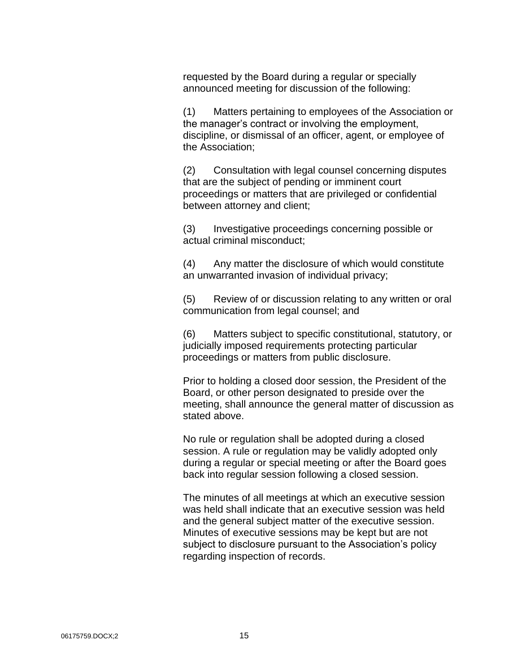requested by the Board during a regular or specially announced meeting for discussion of the following:

(1) Matters pertaining to employees of the Association or the manager's contract or involving the employment, discipline, or dismissal of an officer, agent, or employee of the Association;

(2) Consultation with legal counsel concerning disputes that are the subject of pending or imminent court proceedings or matters that are privileged or confidential between attorney and client;

(3) Investigative proceedings concerning possible or actual criminal misconduct;

(4) Any matter the disclosure of which would constitute an unwarranted invasion of individual privacy;

(5) Review of or discussion relating to any written or oral communication from legal counsel; and

(6) Matters subject to specific constitutional, statutory, or judicially imposed requirements protecting particular proceedings or matters from public disclosure.

Prior to holding a closed door session, the President of the Board, or other person designated to preside over the meeting, shall announce the general matter of discussion as stated above.

No rule or regulation shall be adopted during a closed session. A rule or regulation may be validly adopted only during a regular or special meeting or after the Board goes back into regular session following a closed session.

The minutes of all meetings at which an executive session was held shall indicate that an executive session was held and the general subject matter of the executive session. Minutes of executive sessions may be kept but are not subject to disclosure pursuant to the Association's policy regarding inspection of records.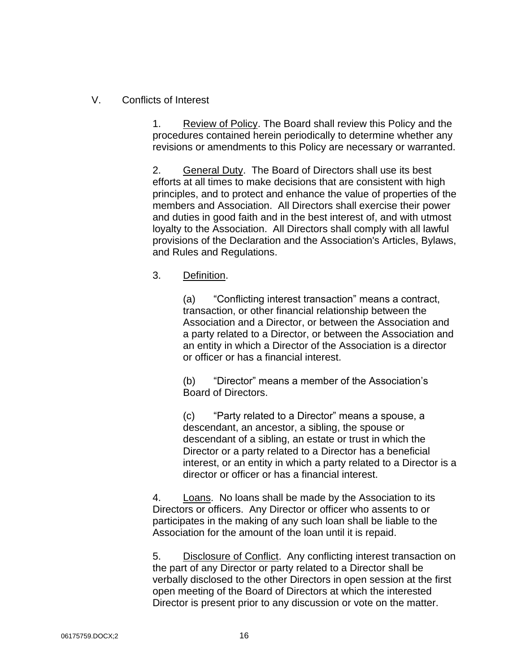## V. Conflicts of Interest

1. Review of Policy. The Board shall review this Policy and the procedures contained herein periodically to determine whether any revisions or amendments to this Policy are necessary or warranted.

2. General Duty. The Board of Directors shall use its best efforts at all times to make decisions that are consistent with high principles, and to protect and enhance the value of properties of the members and Association. All Directors shall exercise their power and duties in good faith and in the best interest of, and with utmost loyalty to the Association. All Directors shall comply with all lawful provisions of the Declaration and the Association's Articles, Bylaws, and Rules and Regulations.

### 3. Definition.

(a) "Conflicting interest transaction" means a contract, transaction, or other financial relationship between the Association and a Director, or between the Association and a party related to a Director, or between the Association and an entity in which a Director of the Association is a director or officer or has a financial interest.

(b) "Director" means a member of the Association's Board of Directors.

(c) "Party related to a Director" means a spouse, a descendant, an ancestor, a sibling, the spouse or descendant of a sibling, an estate or trust in which the Director or a party related to a Director has a beneficial interest, or an entity in which a party related to a Director is a director or officer or has a financial interest.

4. Loans. No loans shall be made by the Association to its Directors or officers. Any Director or officer who assents to or participates in the making of any such loan shall be liable to the Association for the amount of the loan until it is repaid.

5. Disclosure of Conflict. Any conflicting interest transaction on the part of any Director or party related to a Director shall be verbally disclosed to the other Directors in open session at the first open meeting of the Board of Directors at which the interested Director is present prior to any discussion or vote on the matter.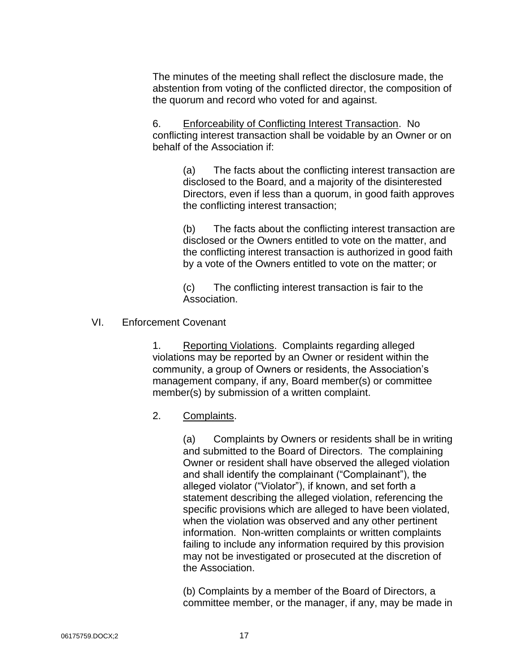The minutes of the meeting shall reflect the disclosure made, the abstention from voting of the conflicted director, the composition of the quorum and record who voted for and against.

6. Enforceability of Conflicting Interest Transaction. No conflicting interest transaction shall be voidable by an Owner or on behalf of the Association if:

> (a) The facts about the conflicting interest transaction are disclosed to the Board, and a majority of the disinterested Directors, even if less than a quorum, in good faith approves the conflicting interest transaction;

> (b) The facts about the conflicting interest transaction are disclosed or the Owners entitled to vote on the matter, and the conflicting interest transaction is authorized in good faith by a vote of the Owners entitled to vote on the matter; or

(c) The conflicting interest transaction is fair to the Association.

### VI. Enforcement Covenant

1. Reporting Violations. Complaints regarding alleged violations may be reported by an Owner or resident within the community, a group of Owners or residents, the Association's management company, if any, Board member(s) or committee member(s) by submission of a written complaint.

### 2. Complaints.

(a) Complaints by Owners or residents shall be in writing and submitted to the Board of Directors. The complaining Owner or resident shall have observed the alleged violation and shall identify the complainant ("Complainant"), the alleged violator ("Violator"), if known, and set forth a statement describing the alleged violation, referencing the specific provisions which are alleged to have been violated, when the violation was observed and any other pertinent information. Non-written complaints or written complaints failing to include any information required by this provision may not be investigated or prosecuted at the discretion of the Association.

(b) Complaints by a member of the Board of Directors, a committee member, or the manager, if any, may be made in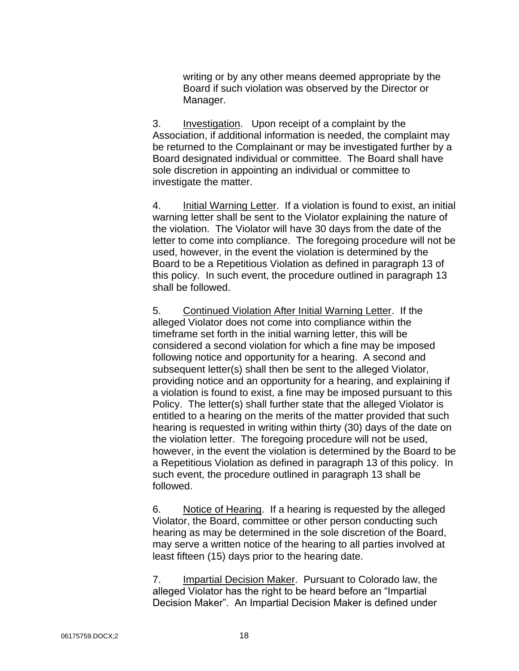writing or by any other means deemed appropriate by the Board if such violation was observed by the Director or Manager.

3. Investigation. Upon receipt of a complaint by the Association, if additional information is needed, the complaint may be returned to the Complainant or may be investigated further by a Board designated individual or committee. The Board shall have sole discretion in appointing an individual or committee to investigate the matter.

4. Initial Warning Letter. If a violation is found to exist, an initial warning letter shall be sent to the Violator explaining the nature of the violation. The Violator will have 30 days from the date of the letter to come into compliance. The foregoing procedure will not be used, however, in the event the violation is determined by the Board to be a Repetitious Violation as defined in paragraph 13 of this policy. In such event, the procedure outlined in paragraph 13 shall be followed.

5. Continued Violation After Initial Warning Letter. If the alleged Violator does not come into compliance within the timeframe set forth in the initial warning letter, this will be considered a second violation for which a fine may be imposed following notice and opportunity for a hearing. A second and subsequent letter(s) shall then be sent to the alleged Violator, providing notice and an opportunity for a hearing, and explaining if a violation is found to exist, a fine may be imposed pursuant to this Policy. The letter(s) shall further state that the alleged Violator is entitled to a hearing on the merits of the matter provided that such hearing is requested in writing within thirty (30) days of the date on the violation letter. The foregoing procedure will not be used, however, in the event the violation is determined by the Board to be a Repetitious Violation as defined in paragraph 13 of this policy. In such event, the procedure outlined in paragraph 13 shall be followed.

6. Notice of Hearing. If a hearing is requested by the alleged Violator, the Board, committee or other person conducting such hearing as may be determined in the sole discretion of the Board, may serve a written notice of the hearing to all parties involved at least fifteen (15) days prior to the hearing date.

7. Impartial Decision Maker. Pursuant to Colorado law, the alleged Violator has the right to be heard before an "Impartial Decision Maker". An Impartial Decision Maker is defined under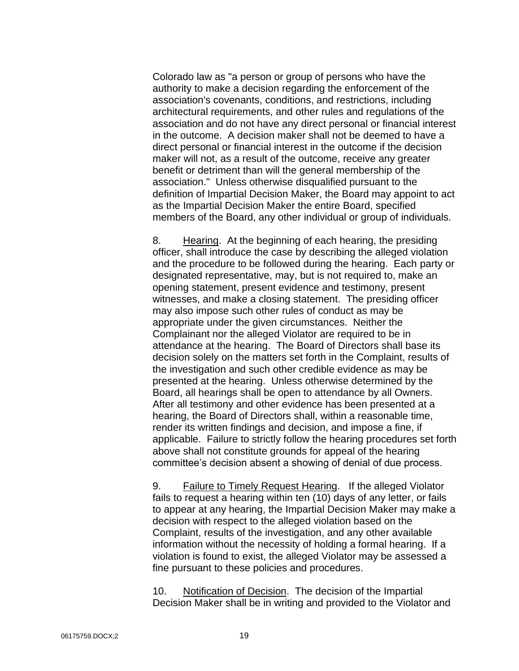Colorado law as "a person or group of persons who have the authority to make a decision regarding the enforcement of the association's covenants, conditions, and restrictions, including architectural requirements, and other rules and regulations of the association and do not have any direct personal or financial interest in the outcome. A decision maker shall not be deemed to have a direct personal or financial interest in the outcome if the decision maker will not, as a result of the outcome, receive any greater benefit or detriment than will the general membership of the association." Unless otherwise disqualified pursuant to the definition of Impartial Decision Maker, the Board may appoint to act as the Impartial Decision Maker the entire Board, specified members of the Board, any other individual or group of individuals.

8. Hearing. At the beginning of each hearing, the presiding officer, shall introduce the case by describing the alleged violation and the procedure to be followed during the hearing. Each party or designated representative, may, but is not required to, make an opening statement, present evidence and testimony, present witnesses, and make a closing statement. The presiding officer may also impose such other rules of conduct as may be appropriate under the given circumstances. Neither the Complainant nor the alleged Violator are required to be in attendance at the hearing. The Board of Directors shall base its decision solely on the matters set forth in the Complaint, results of the investigation and such other credible evidence as may be presented at the hearing. Unless otherwise determined by the Board, all hearings shall be open to attendance by all Owners. After all testimony and other evidence has been presented at a hearing, the Board of Directors shall, within a reasonable time, render its written findings and decision, and impose a fine, if applicable. Failure to strictly follow the hearing procedures set forth above shall not constitute grounds for appeal of the hearing committee's decision absent a showing of denial of due process.

9. Failure to Timely Request Hearing. If the alleged Violator fails to request a hearing within ten (10) days of any letter, or fails to appear at any hearing, the Impartial Decision Maker may make a decision with respect to the alleged violation based on the Complaint, results of the investigation, and any other available information without the necessity of holding a formal hearing. If a violation is found to exist, the alleged Violator may be assessed a fine pursuant to these policies and procedures.

10. Notification of Decision. The decision of the Impartial Decision Maker shall be in writing and provided to the Violator and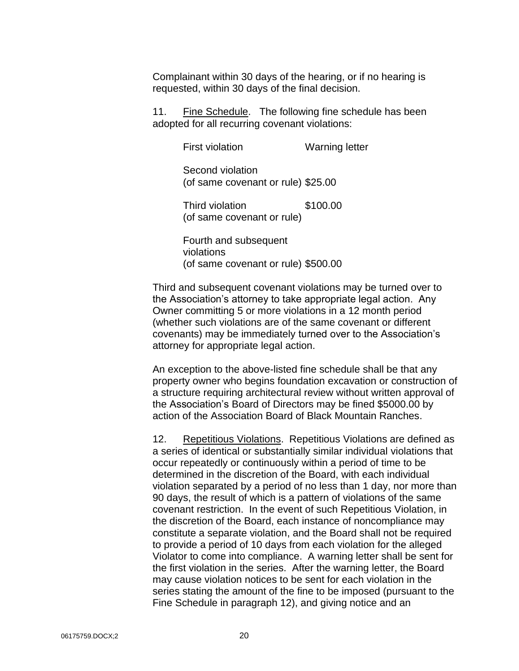Complainant within 30 days of the hearing, or if no hearing is requested, within 30 days of the final decision.

11. Fine Schedule. The following fine schedule has been adopted for all recurring covenant violations:

> First violation **Warning letter** Second violation (of same covenant or rule) \$25.00

Third violation \$100.00 (of same covenant or rule)

Fourth and subsequent violations (of same covenant or rule) \$500.00

Third and subsequent covenant violations may be turned over to the Association's attorney to take appropriate legal action. Any Owner committing 5 or more violations in a 12 month period (whether such violations are of the same covenant or different covenants) may be immediately turned over to the Association's attorney for appropriate legal action.

An exception to the above-listed fine schedule shall be that any property owner who begins foundation excavation or construction of a structure requiring architectural review without written approval of the Association's Board of Directors may be fined \$5000.00 by action of the Association Board of Black Mountain Ranches.

12. Repetitious Violations. Repetitious Violations are defined as a series of identical or substantially similar individual violations that occur repeatedly or continuously within a period of time to be determined in the discretion of the Board, with each individual violation separated by a period of no less than 1 day, nor more than 90 days, the result of which is a pattern of violations of the same covenant restriction. In the event of such Repetitious Violation, in the discretion of the Board, each instance of noncompliance may constitute a separate violation, and the Board shall not be required to provide a period of 10 days from each violation for the alleged Violator to come into compliance. A warning letter shall be sent for the first violation in the series. After the warning letter, the Board may cause violation notices to be sent for each violation in the series stating the amount of the fine to be imposed (pursuant to the Fine Schedule in paragraph 12), and giving notice and an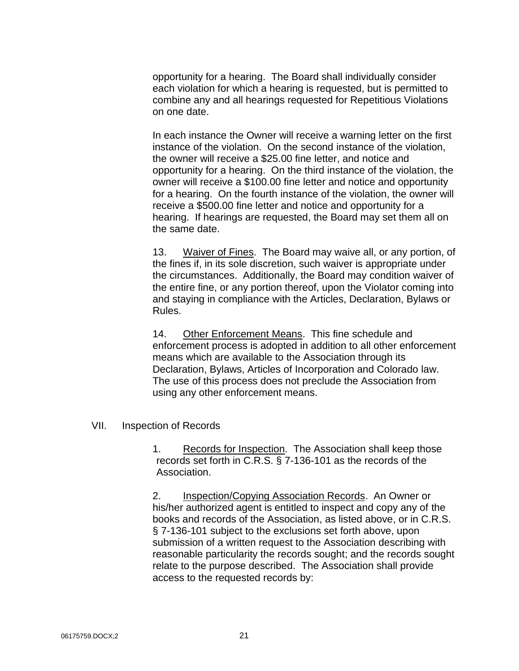opportunity for a hearing. The Board shall individually consider each violation for which a hearing is requested, but is permitted to combine any and all hearings requested for Repetitious Violations on one date.

In each instance the Owner will receive a warning letter on the first instance of the violation. On the second instance of the violation, the owner will receive a \$25.00 fine letter, and notice and opportunity for a hearing. On the third instance of the violation, the owner will receive a \$100.00 fine letter and notice and opportunity for a hearing. On the fourth instance of the violation, the owner will receive a \$500.00 fine letter and notice and opportunity for a hearing. If hearings are requested, the Board may set them all on the same date.

13. Waiver of Fines. The Board may waive all, or any portion, of the fines if, in its sole discretion, such waiver is appropriate under the circumstances. Additionally, the Board may condition waiver of the entire fine, or any portion thereof, upon the Violator coming into and staying in compliance with the Articles, Declaration, Bylaws or Rules.

14. Other Enforcement Means. This fine schedule and enforcement process is adopted in addition to all other enforcement means which are available to the Association through its Declaration, Bylaws, Articles of Incorporation and Colorado law. The use of this process does not preclude the Association from using any other enforcement means.

VII. Inspection of Records

1. Records for Inspection. The Association shall keep those records set forth in C.R.S. § 7-136-101 as the records of the Association.

2. Inspection/Copying Association Records. An Owner or his/her authorized agent is entitled to inspect and copy any of the books and records of the Association, as listed above, or in C.R.S. § 7-136-101 subject to the exclusions set forth above, upon submission of a written request to the Association describing with reasonable particularity the records sought; and the records sought relate to the purpose described. The Association shall provide access to the requested records by: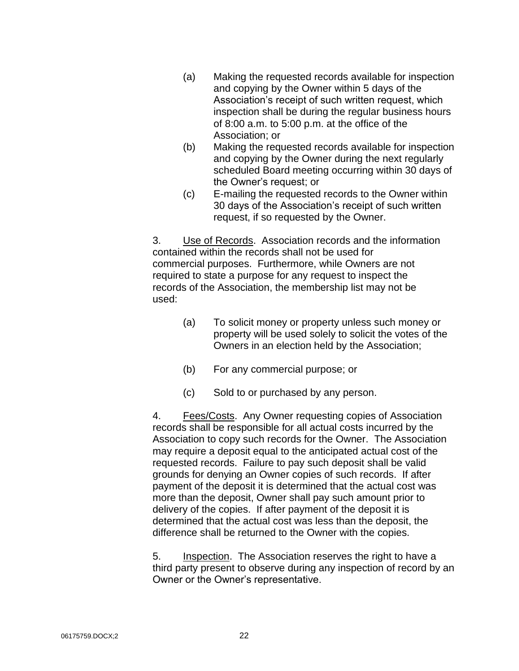- (a) Making the requested records available for inspection and copying by the Owner within 5 days of the Association's receipt of such written request, which inspection shall be during the regular business hours of 8:00 a.m. to 5:00 p.m. at the office of the Association; or
- (b) Making the requested records available for inspection and copying by the Owner during the next regularly scheduled Board meeting occurring within 30 days of the Owner's request; or
- (c) E-mailing the requested records to the Owner within 30 days of the Association's receipt of such written request, if so requested by the Owner.

3. Use of Records. Association records and the information contained within the records shall not be used for commercial purposes. Furthermore, while Owners are not required to state a purpose for any request to inspect the records of the Association, the membership list may not be used:

- (a) To solicit money or property unless such money or property will be used solely to solicit the votes of the Owners in an election held by the Association;
- (b) For any commercial purpose; or
- (c) Sold to or purchased by any person.

4. Fees/Costs. Any Owner requesting copies of Association records shall be responsible for all actual costs incurred by the Association to copy such records for the Owner. The Association may require a deposit equal to the anticipated actual cost of the requested records. Failure to pay such deposit shall be valid grounds for denying an Owner copies of such records. If after payment of the deposit it is determined that the actual cost was more than the deposit, Owner shall pay such amount prior to delivery of the copies. If after payment of the deposit it is determined that the actual cost was less than the deposit, the difference shall be returned to the Owner with the copies.

5. Inspection. The Association reserves the right to have a third party present to observe during any inspection of record by an Owner or the Owner's representative.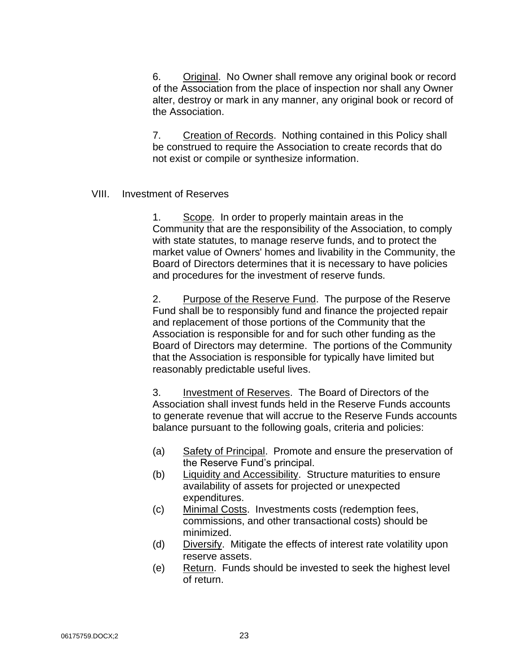6. Original. No Owner shall remove any original book or record of the Association from the place of inspection nor shall any Owner alter, destroy or mark in any manner, any original book or record of the Association.

7. Creation of Records. Nothing contained in this Policy shall be construed to require the Association to create records that do not exist or compile or synthesize information.

#### VIII. Investment of Reserves

1. Scope. In order to properly maintain areas in the Community that are the responsibility of the Association, to comply with state statutes, to manage reserve funds, and to protect the market value of Owners' homes and livability in the Community, the Board of Directors determines that it is necessary to have policies and procedures for the investment of reserve funds.

2. Purpose of the Reserve Fund. The purpose of the Reserve Fund shall be to responsibly fund and finance the projected repair and replacement of those portions of the Community that the Association is responsible for and for such other funding as the Board of Directors may determine. The portions of the Community that the Association is responsible for typically have limited but reasonably predictable useful lives.

3. Investment of Reserves. The Board of Directors of the Association shall invest funds held in the Reserve Funds accounts to generate revenue that will accrue to the Reserve Funds accounts balance pursuant to the following goals, criteria and policies:

- (a) Safety of Principal. Promote and ensure the preservation of the Reserve Fund's principal.
- (b) Liquidity and Accessibility. Structure maturities to ensure availability of assets for projected or unexpected expenditures.
- (c) Minimal Costs. Investments costs (redemption fees, commissions, and other transactional costs) should be minimized.
- (d) Diversify. Mitigate the effects of interest rate volatility upon reserve assets.
- (e) Return. Funds should be invested to seek the highest level of return.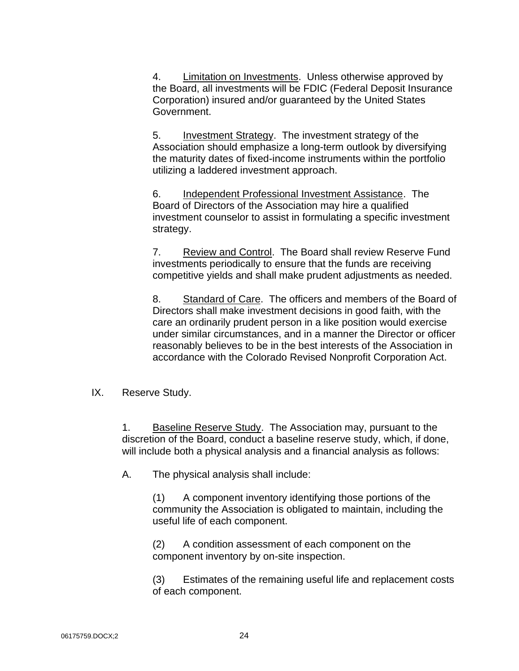4. Limitation on Investments. Unless otherwise approved by the Board, all investments will be FDIC (Federal Deposit Insurance Corporation) insured and/or guaranteed by the United States Government.

5. Investment Strategy. The investment strategy of the Association should emphasize a long-term outlook by diversifying the maturity dates of fixed-income instruments within the portfolio utilizing a laddered investment approach.

6. Independent Professional Investment Assistance. The Board of Directors of the Association may hire a qualified investment counselor to assist in formulating a specific investment strategy.

7. Review and Control. The Board shall review Reserve Fund investments periodically to ensure that the funds are receiving competitive yields and shall make prudent adjustments as needed.

8. Standard of Care. The officers and members of the Board of Directors shall make investment decisions in good faith, with the care an ordinarily prudent person in a like position would exercise under similar circumstances, and in a manner the Director or officer reasonably believes to be in the best interests of the Association in accordance with the Colorado Revised Nonprofit Corporation Act.

IX. Reserve Study.

1. Baseline Reserve Study. The Association may, pursuant to the discretion of the Board, conduct a baseline reserve study, which, if done, will include both a physical analysis and a financial analysis as follows:

A. The physical analysis shall include:

(1) A component inventory identifying those portions of the community the Association is obligated to maintain, including the useful life of each component.

(2) A condition assessment of each component on the component inventory by on-site inspection.

(3) Estimates of the remaining useful life and replacement costs of each component.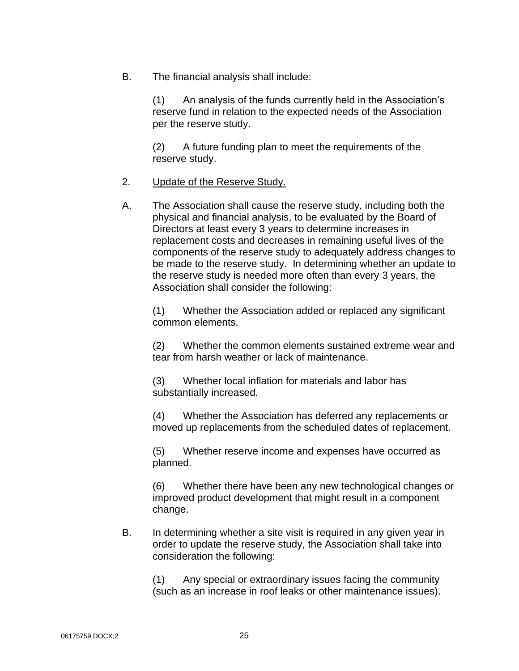B. The financial analysis shall include:

(1) An analysis of the funds currently held in the Association's reserve fund in relation to the expected needs of the Association per the reserve study.

(2) A future funding plan to meet the requirements of the reserve study.

- 2. Update of the Reserve Study.
- A. The Association shall cause the reserve study, including both the physical and financial analysis, to be evaluated by the Board of Directors at least every 3 years to determine increases in replacement costs and decreases in remaining useful lives of the components of the reserve study to adequately address changes to be made to the reserve study. In determining whether an update to the reserve study is needed more often than every 3 years, the Association shall consider the following:

(1) Whether the Association added or replaced any significant common elements.

(2) Whether the common elements sustained extreme wear and tear from harsh weather or lack of maintenance.

(3) Whether local inflation for materials and labor has substantially increased.

(4) Whether the Association has deferred any replacements or moved up replacements from the scheduled dates of replacement.

(5) Whether reserve income and expenses have occurred as planned.

(6) Whether there have been any new technological changes or improved product development that might result in a component change.

B. In determining whether a site visit is required in any given year in order to update the reserve study, the Association shall take into consideration the following:

(1) Any special or extraordinary issues facing the community (such as an increase in roof leaks or other maintenance issues).